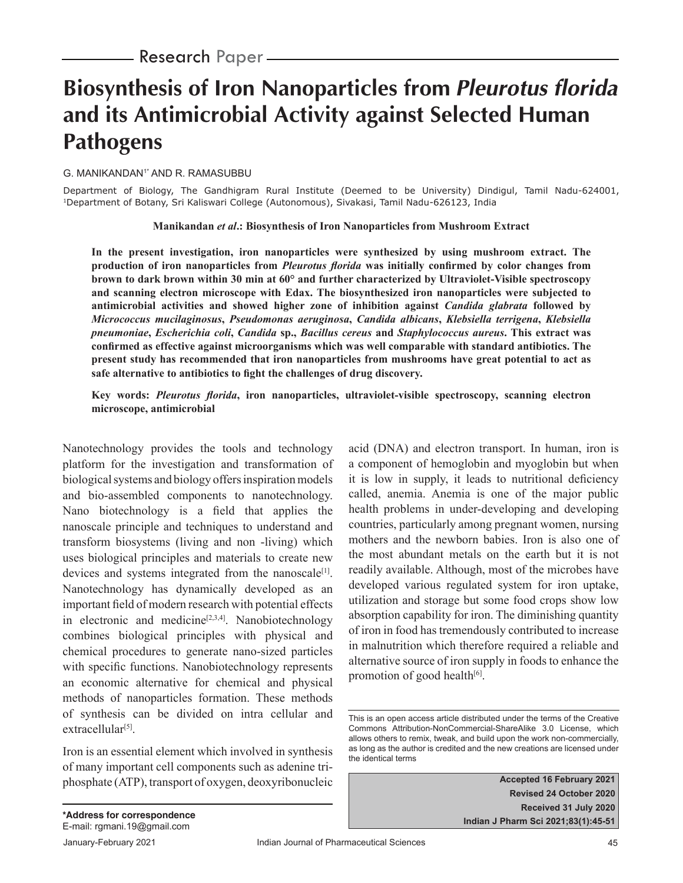# **Biosynthesis of Iron Nanoparticles from** *Pleurotus florida*  **and its Antimicrobial Activity against Selected Human Pathogens**

#### G. MANIKANDAN<sup>1\*</sup> AND R. RAMASUBBU

Department of Biology, The Gandhigram Rural Institute (Deemed to be University) Dindigul, Tamil Nadu-624001, 1Department of Botany, Sri Kaliswari College (Autonomous), Sivakasi, Tamil Nadu-626123, India

#### **Manikandan** *et al***.: Biosynthesis of Iron Nanoparticles from Mushroom Extract**

**In the present investigation, iron nanoparticles were synthesized by using mushroom extract. The production of iron nanoparticles from** *Pleurotus florida* **was initially confirmed by color changes from brown to dark brown within 30 min at 60° and further characterized by Ultraviolet-Visible spectroscopy and scanning electron microscope with Edax. The biosynthesized iron nanoparticles were subjected to antimicrobial activities and showed higher zone of inhibition against** *Candida glabrata* **followed by**  *Micrococcus mucilaginosus***,** *Pseudomonas aeruginosa***,** *Candida albicans***,** *Klebsiella terrigena***,** *Klebsiella pneumoniae***,** *Escherichia coli***,** *Candida* **sp.,** *Bacillus cereus* **and** *Staphylococcus aureus***. This extract was**  confirmed as effective against microorganisms which was well comparable with standard antibiotics. The **present study has recommended that iron nanoparticles from mushrooms have great potential to act as**  safe alternative to antibiotics to fight the challenges of drug discovery.

#### Key words: *Pleurotus florida*, iron nanoparticles, ultraviolet-visible spectroscopy, scanning electron **microscope, antimicrobial**

Nanotechnology provides the tools and technology platform for the investigation and transformation of biological systems and biology offers inspiration models and bio-assembled components to nanotechnology. Nano biotechnology is a field that applies the nanoscale principle and techniques to understand and transform biosystems (living and non -living) which uses biological principles and materials to create new devices and systems integrated from the nanoscale<sup>[1]</sup>. Nanotechnology has dynamically developed as an important field of modern research with potential effects in electronic and medicine<sup>[2,3,4]</sup>. Nanobiotechnology combines biological principles with physical and chemical procedures to generate nano-sized particles with specific functions. Nanobiotechnology represents an economic alternative for chemical and physical methods of nanoparticles formation. These methods of synthesis can be divided on intra cellular and  $extrac{ellular^{[5]}}{=}$ 

Iron is an essential element which involved in synthesis of many important cell components such as adenine triphosphate (ATP), transport of oxygen, deoxyribonucleic acid (DNA) and electron transport. In human, iron is a component of hemoglobin and myoglobin but when it is low in supply, it leads to nutritional deficiency called, anemia. Anemia is one of the major public health problems in under-developing and developing countries, particularly among pregnant women, nursing mothers and the newborn babies. Iron is also one of the most abundant metals on the earth but it is not readily available. Although, most of the microbes have developed various regulated system for iron uptake, utilization and storage but some food crops show low absorption capability for iron. The diminishing quantity of iron in food has tremendously contributed to increase in malnutrition which therefore required a reliable and alternative source of iron supply in foods to enhance the promotion of good health $[6]$ .

**Accepted 16 February 2021 Revised 24 October 2020 Received 31 July 2020 Indian J Pharm Sci 2021;83(1):45-51**

This is an open access article distributed under the terms of the Creative Commons Attribution-NonCommercial-ShareAlike 3.0 License, which allows others to remix, tweak, and build upon the work non-commercially, as long as the author is credited and the new creations are licensed under the identical terms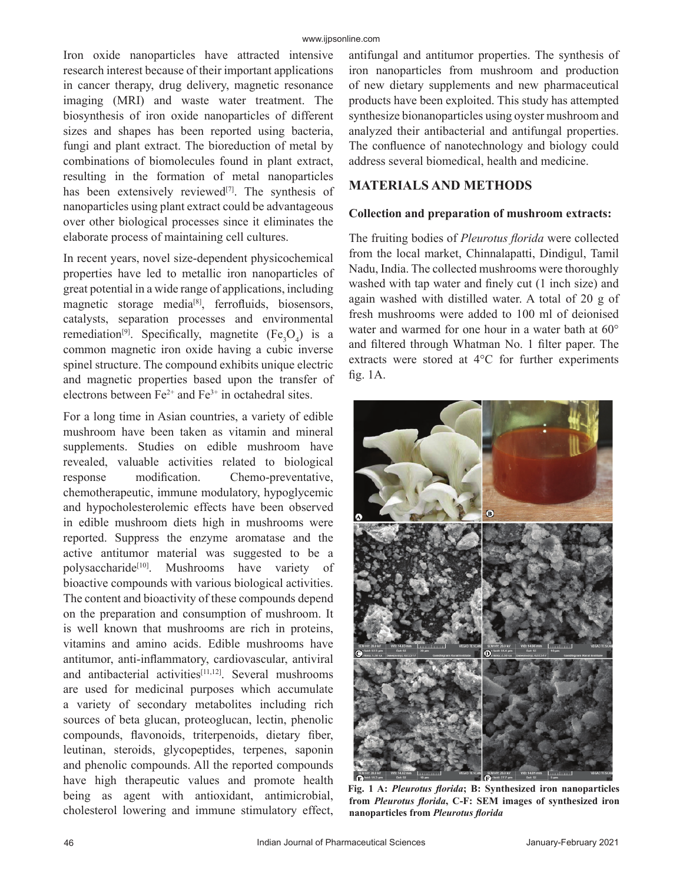Iron oxide nanoparticles have attracted intensive research interest because of their important applications in cancer therapy, drug delivery, magnetic resonance imaging (MRI) and waste water treatment. The biosynthesis of iron oxide nanoparticles of different sizes and shapes has been reported using bacteria, fungi and plant extract. The bioreduction of metal by combinations of biomolecules found in plant extract, resulting in the formation of metal nanoparticles has been extensively reviewed $[7]$ . The synthesis of nanoparticles using plant extract could be advantageous over other biological processes since it eliminates the elaborate process of maintaining cell cultures.

In recent years, novel size-dependent physicochemical properties have led to metallic iron nanoparticles of great potential in a wide range of applications, including magnetic storage media<sup>[8]</sup>, ferrofluids, biosensors, catalysts, separation processes and environmental remediation<sup>[9]</sup>. Specifically, magnetite  $(Fe<sub>3</sub>O<sub>4</sub>)$  is a common magnetic iron oxide having a cubic inverse spinel structure. The compound exhibits unique electric and magnetic properties based upon the transfer of electrons between  $Fe^{2+}$  and  $Fe^{3+}$  in octahedral sites.

For a long time in Asian countries, a variety of edible mushroom have been taken as vitamin and mineral supplements. Studies on edible mushroom have revealed, valuable activities related to biological response modification. Chemo-preventative, chemotherapeutic, immune modulatory, hypoglycemic and hypocholesterolemic effects have been observed in edible mushroom diets high in mushrooms were reported. Suppress the enzyme aromatase and the active antitumor material was suggested to be a polysaccharide<sup>[10]</sup>. Mushrooms have variety of bioactive compounds with various biological activities. The content and bioactivity of these compounds depend on the preparation and consumption of mushroom. It is well known that mushrooms are rich in proteins, vitamins and amino acids. Edible mushrooms have antitumor, anti-inflammatory, cardiovascular, antiviral and antibacterial activities<sup>[11,12]</sup>. Several mushrooms are used for medicinal purposes which accumulate a variety of secondary metabolites including rich sources of beta glucan, proteoglucan, lectin, phenolic compounds, flavonoids, triterpenoids, dietary fiber, leutinan, steroids, glycopeptides, terpenes, saponin and phenolic compounds. All the reported compounds have high therapeutic values and promote health being as agent with antioxidant, antimicrobial, cholesterol lowering and immune stimulatory effect,

antifungal and antitumor properties. The synthesis of iron nanoparticles from mushroom and production of new dietary supplements and new pharmaceutical products have been exploited. This study has attempted synthesize bionanoparticles using oyster mushroom and analyzed their antibacterial and antifungal properties. The confluence of nanotechnology and biology could address several biomedical, health and medicine.

## **MATERIALS AND METHODS**

#### **Collection and preparation of mushroom extracts:**

The fruiting bodies of *Pleurotus florida* were collected from the local market, Chinnalapatti, Dindigul, Tamil Nadu, India. The collected mushrooms were thoroughly washed with tap water and finely cut (1 inch size) and again washed with distilled water. A total of 20 g of fresh mushrooms were added to 100 ml of deionised water and warmed for one hour in a water bath at 60° and filtered through Whatman No. 1 filter paper. The extracts were stored at 4°C for further experiments fig.  $1A$ .



Fig. 1 A: *Pleurotus florida*; B: Synthesized iron nanoparticles from *Pleurotus florida*, C-F: SEM images of synthesized iron **nanoparticles from** *Pleurotus fl orida*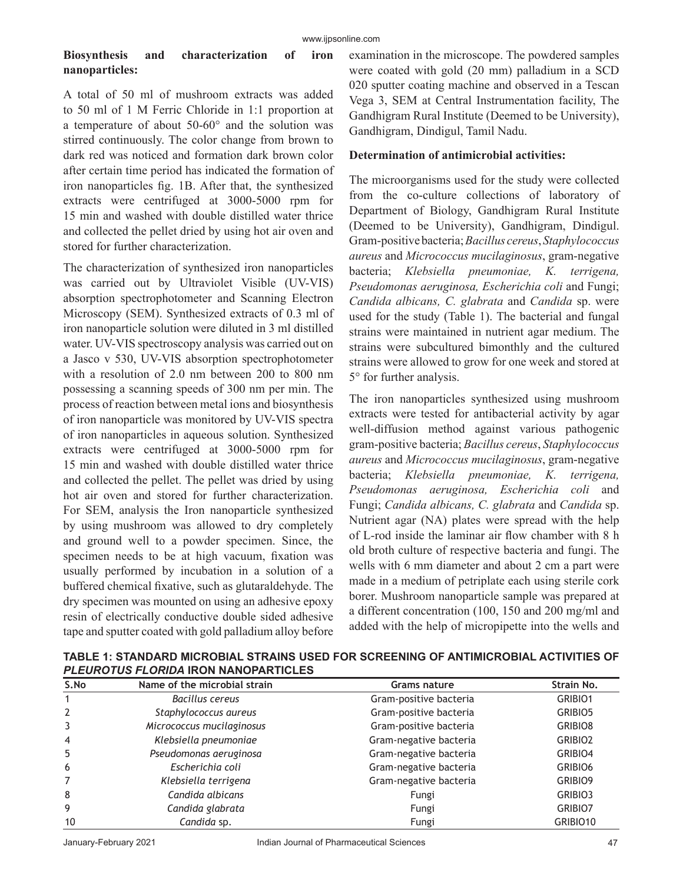## **Biosynthesis and characterization of iron nanoparticles:**

A total of 50 ml of mushroom extracts was added to 50 ml of 1 M Ferric Chloride in 1:1 proportion at a temperature of about 50-60° and the solution was stirred continuously. The color change from brown to dark red was noticed and formation dark brown color after certain time period has indicated the formation of iron nanoparticles fig. 1B. After that, the synthesized extracts were centrifuged at 3000-5000 rpm for 15 min and washed with double distilled water thrice and collected the pellet dried by using hot air oven and stored for further characterization.

The characterization of synthesized iron nanoparticles was carried out by Ultraviolet Visible (UV-VIS) absorption spectrophotometer and Scanning Electron Microscopy (SEM). Synthesized extracts of 0.3 ml of iron nanoparticle solution were diluted in 3 ml distilled water. UV-VIS spectroscopy analysis was carried out on a Jasco v 530, UV-VIS absorption spectrophotometer with a resolution of 2.0 nm between 200 to 800 nm possessing a scanning speeds of 300 nm per min. The process of reaction between metal ions and biosynthesis of iron nanoparticle was monitored by UV-VIS spectra of iron nanoparticles in aqueous solution. Synthesized extracts were centrifuged at 3000-5000 rpm for 15 min and washed with double distilled water thrice and collected the pellet. The pellet was dried by using hot air oven and stored for further characterization. For SEM, analysis the Iron nanoparticle synthesized by using mushroom was allowed to dry completely and ground well to a powder specimen. Since, the specimen needs to be at high vacuum, fixation was usually performed by incubation in a solution of a buffered chemical fixative, such as glutaraldehyde. The dry specimen was mounted on using an adhesive epoxy resin of electrically conductive double sided adhesive tape and sputter coated with gold palladium alloy before

examination in the microscope. The powdered samples were coated with gold (20 mm) palladium in a SCD 020 sputter coating machine and observed in a Tescan Vega 3, SEM at Central Instrumentation facility, The Gandhigram Rural Institute (Deemed to be University), Gandhigram, Dindigul, Tamil Nadu.

### **Determination of antimicrobial activities:**

The microorganisms used for the study were collected from the co-culture collections of laboratory of Department of Biology, Gandhigram Rural Institute (Deemed to be University), Gandhigram, Dindigul. Gram-positive bacteria; *Bacillus cereus*, *Staphylococcus aureus* and *Micrococcus mucilaginosus*, gram-negative bacteria; *Klebsiella pneumoniae, K. terrigena, Pseudomonas aeruginosa, Escherichia coli* and Fungi; *Candida albicans, C. glabrata* and *Candida* sp. were used for the study (Table 1). The bacterial and fungal strains were maintained in nutrient agar medium. The strains were subcultured bimonthly and the cultured strains were allowed to grow for one week and stored at 5° for further analysis.

The iron nanoparticles synthesized using mushroom extracts were tested for antibacterial activity by agar well-diffusion method against various pathogenic gram-positive bacteria; *Bacillus cereus*, *Staphylococcus aureus* and *Micrococcus mucilaginosus*, gram-negative bacteria; *Klebsiella pneumoniae, K. terrigena, Pseudomonas aeruginosa, Escherichia coli* and Fungi; *Candida albicans, C. glabrata* and *Candida* sp. Nutrient agar (NA) plates were spread with the help of L-rod inside the laminar air flow chamber with 8 h old broth culture of respective bacteria and fungi. The wells with 6 mm diameter and about 2 cm a part were made in a medium of petriplate each using sterile cork borer. Mushroom nanoparticle sample was prepared at a different concentration (100, 150 and 200 mg/ml and added with the help of micropipette into the wells and

| S.No           | Name of the microbial strain | <b>Grams nature</b>    | Strain No.          |
|----------------|------------------------------|------------------------|---------------------|
|                | Bacillus cereus              | Gram-positive bacteria | GRIBIO1             |
| 2              | Staphylococcus aureus        | Gram-positive bacteria | GRIBIO5             |
| 3              | Micrococcus mucilaginosus    | Gram-positive bacteria | GRIBIO8             |
| $\overline{4}$ | Klebsiella pneumoniae        | Gram-negative bacteria | GRIBIO <sub>2</sub> |
| 5              | Pseudomonas aeruginosa       | Gram-negative bacteria | GRIBIO4             |
| 6              | Escherichia coli             | Gram-negative bacteria | GRIBIO6             |
| 7              | Klebsiella terrigena         | Gram-negative bacteria | GRIBIO9             |
| 8              | Candida albicans             | Fungi                  | GRIBIO3             |
| 9              | Candida glabrata             | Fungi                  | GRIBIO7             |
| 10             | Candida sp.                  | Fungi                  | GRIBIO10            |

**TABLE 1: STANDARD MICROBIAL STRAINS USED FOR SCREENING OF ANTIMICROBIAL ACTIVITIES OF**  *PLEUROTUS FLORIDA* **IRON NANOPARTICLES**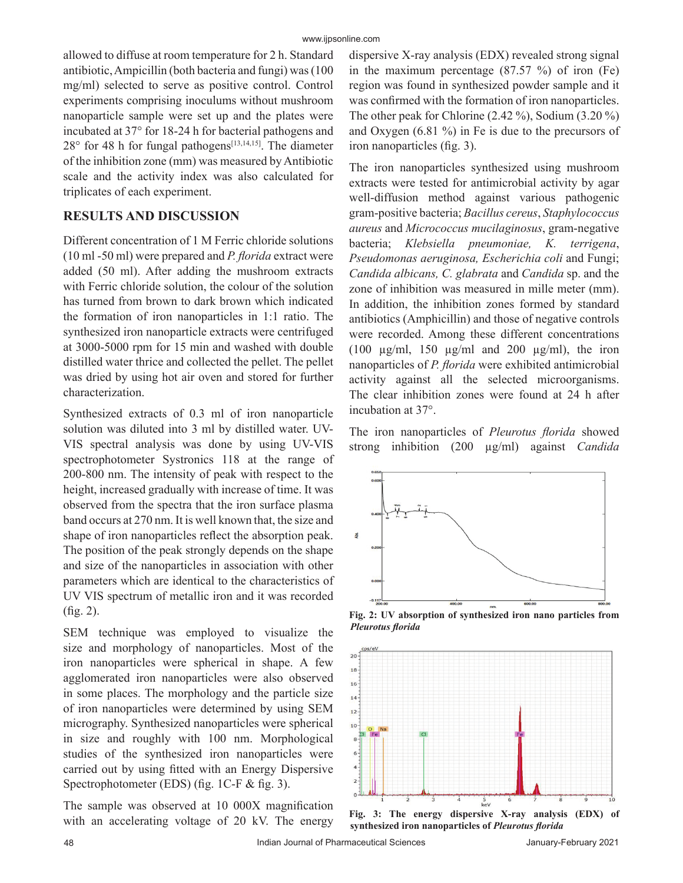allowed to diffuse at room temperature for 2 h. Standard antibiotic, Ampicillin (both bacteria and fungi) was (100 mg/ml) selected to serve as positive control. Control experiments comprising inoculums without mushroom nanoparticle sample were set up and the plates were incubated at 37° for 18-24 h for bacterial pathogens and  $28^{\circ}$  for 48 h for fungal pathogens<sup>[13,14,15]</sup>. The diameter of the inhibition zone (mm) was measured by Antibiotic scale and the activity index was also calculated for triplicates of each experiment.

## **RESULTS AND DISCUSSION**

Different concentration of 1 M Ferric chloride solutions (10 ml -50 ml) were prepared and *P. florida* extract were added (50 ml). After adding the mushroom extracts with Ferric chloride solution, the colour of the solution has turned from brown to dark brown which indicated the formation of iron nanoparticles in 1:1 ratio. The synthesized iron nanoparticle extracts were centrifuged at 3000-5000 rpm for 15 min and washed with double distilled water thrice and collected the pellet. The pellet was dried by using hot air oven and stored for further characterization.

Synthesized extracts of 0.3 ml of iron nanoparticle solution was diluted into 3 ml by distilled water. UV-VIS spectral analysis was done by using UV-VIS spectrophotometer Systronics 118 at the range of 200-800 nm. The intensity of peak with respect to the height, increased gradually with increase of time. It was observed from the spectra that the iron surface plasma band occurs at 270 nm. It is well known that, the size and shape of iron nanoparticles reflect the absorption peak. The position of the peak strongly depends on the shape and size of the nanoparticles in association with other parameters which are identical to the characteristics of UV VIS spectrum of metallic iron and it was recorded  $(f \nvert g. 2)$ .

SEM technique was employed to visualize the size and morphology of nanoparticles. Most of the iron nanoparticles were spherical in shape. A few agglomerated iron nanoparticles were also observed in some places. The morphology and the particle size of iron nanoparticles were determined by using SEM micrography. Synthesized nanoparticles were spherical in size and roughly with 100 nm. Morphological studies of the synthesized iron nanoparticles were carried out by using fitted with an Energy Dispersive Spectrophotometer (EDS) (fig.  $1C-F$  & fig. 3).

The sample was observed at  $10\,000X$  magnification with an accelerating voltage of 20 kV. The energy

dispersive X-ray analysis (EDX) revealed strong signal in the maximum percentage (87.57 %) of iron (Fe) region was found in synthesized powder sample and it was confirmed with the formation of iron nanoparticles. The other peak for Chlorine (2.42 %), Sodium (3.20 %) and Oxygen (6.81 %) in Fe is due to the precursors of iron nanoparticles (fig. 3).

The iron nanoparticles synthesized using mushroom extracts were tested for antimicrobial activity by agar well-diffusion method against various pathogenic gram-positive bacteria; *Bacillus cereus*, *Staphylococcus aureus* and *Micrococcus mucilaginosus*, gram-negative bacteria; *Klebsiella pneumoniae, K. terrigena*, *Pseudomonas aeruginosa, Escherichia coli* and Fungi; *Candida albicans, C. glabrata* and *Candida* sp. and the zone of inhibition was measured in mille meter (mm). In addition, the inhibition zones formed by standard antibiotics (Amphicillin) and those of negative controls were recorded. Among these different concentrations (100  $\mu$ g/ml, 150  $\mu$ g/ml and 200  $\mu$ g/ml), the iron nanoparticles of *P. florida* were exhibited antimicrobial activity against all the selected microorganisms. The clear inhibition zones were found at 24 h after incubation at 37°.

The iron nanoparticles of *Pleurotus florida* showed strong inhibition (200 μg/ml) against *Candida* 



**Fig. 2: UV absorption of synthesized iron nano particles from**  *Pleurotus fl orida*



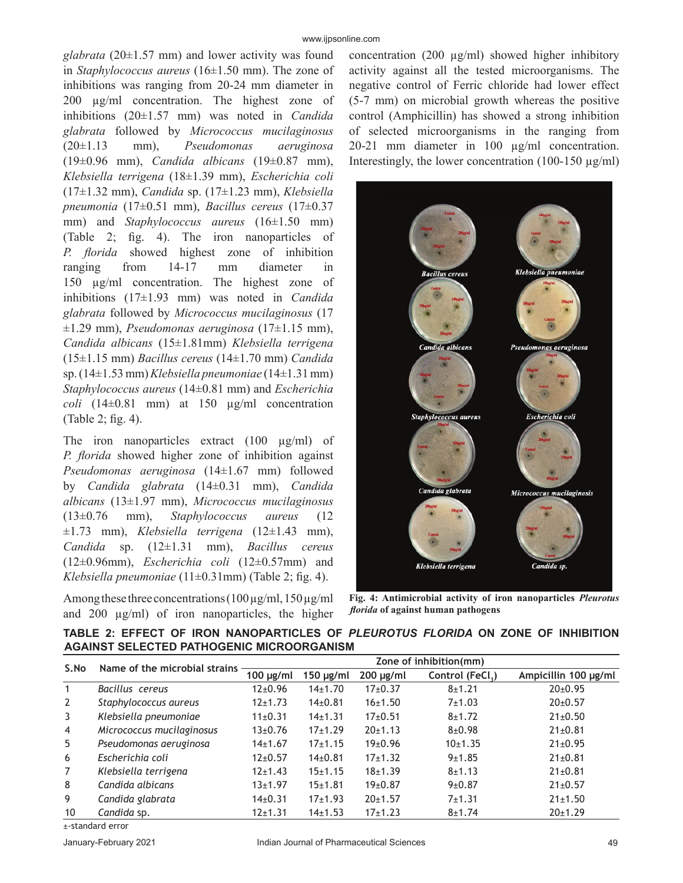*glabrata* (20±1.57 mm) and lower activity was found in *Staphylococcus aureus* (16±1.50 mm). The zone of inhibitions was ranging from 20-24 mm diameter in 200 μg/ml concentration. The highest zone of inhibitions (20±1.57 mm) was noted in *Candida glabrata* followed by *Micrococcus mucilaginosus*  (20±1.13 mm), *Pseudomonas aeruginosa*  (19±0.96 mm), *Candida albicans* (19±0.87 mm), *Klebsiella terrigena* (18±1.39 mm), *Escherichia coli*  (17±1.32 mm), *Candida* sp. (17±1.23 mm), *Klebsiella pneumonia* (17±0.51 mm), *Bacillus cereus* (17±0.37 mm) and *Staphylococcus aureus* (16±1.50 mm) (Table 2; fig. 4). The iron nanoparticles of *P. florida* showed highest zone of inhibition ranging from 14-17 mm diameter in 150 μg/ml concentration. The highest zone of inhibitions (17±1.93 mm) was noted in *Candida glabrata* followed by *Micrococcus mucilaginosus* (17 ±1.29 mm), *Pseudomonas aeruginosa* (17±1.15 mm), *Candida albicans* (15±1.81mm) *Klebsiella terrigena*  (15±1.15 mm) *Bacillus cereus* (14±1.70 mm) *Candida*  sp.(14±1.53 mm) *Klebsiella pneumoniae* (14±1.31 mm) *Staphylococcus aureus* (14±0.81 mm) and *Escherichia coli* (14±0.81 mm) at 150 μg/ml concentration (Table 2; fig. 4).

The iron nanoparticles extract (100 μg/ml) of *P. florida* showed higher zone of inhibition against *Pseudomonas aeruginosa* (14±1.67 mm) followed by *Candida glabrata* (14±0.31 mm), *Candida albicans* (13±1.97 mm), *Micrococcus mucilaginosus*  (13±0.76 mm), *Staphylococcus aureus* (12 ±1.73 mm), *Klebsiella terrigena* (12±1.43 mm), *Candida* sp. (12±1.31 mm), *Bacillus cereus*  (12±0.96mm), *Escherichia coli* (12±0.57mm) and *Klebsiella pneumoniae*  $(11\pm0.31$ mm) (Table 2; fig. 4).

Among these three concentrations  $(100 \,\mu\text{g/ml}, 150 \,\mu\text{g/ml})$ and 200 μg/ml) of iron nanoparticles, the higher concentration (200 μg/ml) showed higher inhibitory activity against all the tested microorganisms. The negative control of Ferric chloride had lower effect (5-7 mm) on microbial growth whereas the positive control (Amphicillin) has showed a strong inhibition of selected microorganisms in the ranging from 20-21 mm diameter in 100 μg/ml concentration. Interestingly, the lower concentration  $(100-150 \mu g/ml)$ 



**Fig. 4: Antimicrobial activity of iron nanoparticles** *Pleurotus fl orida* **of against human pathogens**

**TABLE 2: EFFECT OF IRON NANOPARTICLES OF** *PLEUROTUS FLORIDA* **ON ZONE OF INHIBITION AGAINST SELECTED PATHOGENIC MICROORGANISM**

| S.No             | Name of the microbial strains | Zone of inhibition(mm) |                |                      |                 |                      |  |
|------------------|-------------------------------|------------------------|----------------|----------------------|-----------------|----------------------|--|
|                  |                               | $100$ µg/ml            | $150 \mu g/ml$ | $200 \mu g/ml$       | Control (FeCl.) | Ampicillin 100 µg/ml |  |
| $\mathbf{1}$     | Bacillus cereus               | $12\pm0.96$            | $14+1.70$      | $17+0.37$            | $8 + 1.21$      | $20 \pm 0.95$        |  |
| 2                | Staphylococcus aureus         | $12+1.73$              | $14\pm0.81$    | 16±1.50              | 7±1.03          | $20 \pm 0.57$        |  |
| 3                | Klebsiella pneumoniae         | $11\pm0.31$            | $14+1.31$      | $17+0.51$            | $8 + 1.72$      | $21 \pm 0.50$        |  |
| $\overline{4}$   | Micrococcus mucilaginosus     | $13 \pm 0.76$          | $17+1.29$      | 20±1.13              | $8 + 0.98$      | $21 \pm 0.81$        |  |
| 5                | Pseudomonas aeruginosa        | $14\pm1.67$            | $17+1.15$      | 19 <sub>±</sub> 0.96 | 10±1.35         | $21 \pm 0.95$        |  |
| 6                | Escherichia coli              | $12 \pm 0.57$          | $14\pm0.81$    | $17+1.32$            | 9±1.85          | $21 \pm 0.81$        |  |
| 7                | Klebsiella terrigena          | $12 \pm 1.43$          | $15+1.15$      | $18 + 1.39$          | $8 + 1.13$      | $21 \pm 0.81$        |  |
| 8                | Candida albicans              | $13 \pm 1.97$          | 15±1.81        | $19 \pm 0.87$        | 9±0.87          | $21 \pm 0.57$        |  |
| 9                | Candida glabrata              | $14\pm0.31$            | $17+1.93$      | 20±1.57              | 7±1.31          | $21 \pm 1.50$        |  |
| 10               | Candida sp.                   | $12 \pm 1.31$          | $14\pm1.53$    | $17+1.23$            | $8 + 1.74$      | 20±1.29              |  |
| . atandard arrar |                               |                        |                |                      |                 |                      |  |

±-standard error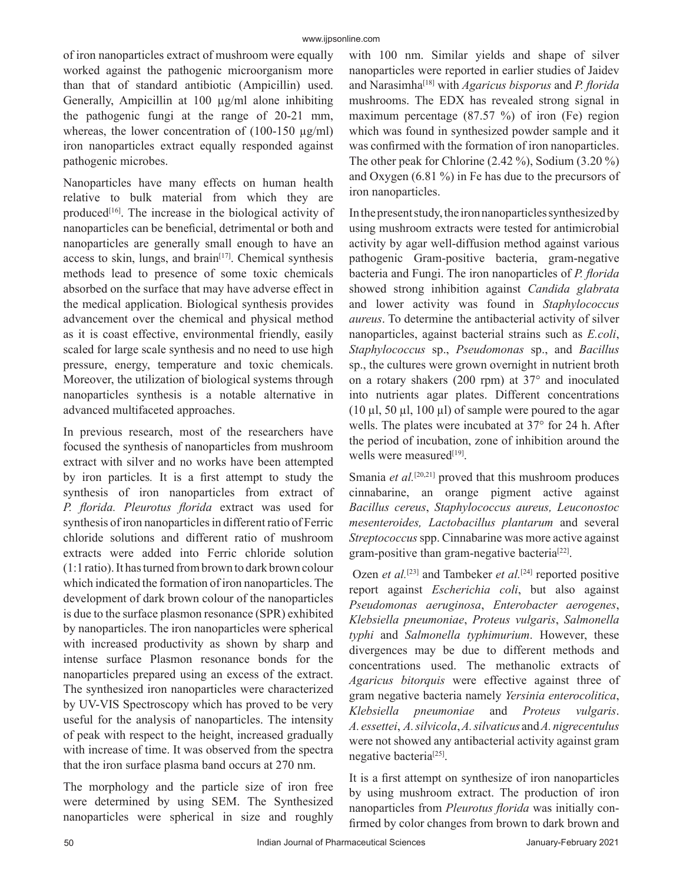of iron nanoparticles extract of mushroom were equally worked against the pathogenic microorganism more than that of standard antibiotic (Ampicillin) used. Generally, Ampicillin at 100 μg/ml alone inhibiting the pathogenic fungi at the range of 20-21 mm, whereas, the lower concentration of (100-150 μg/ml) iron nanoparticles extract equally responded against pathogenic microbes.

Nanoparticles have many effects on human health relative to bulk material from which they are produced $[16]$ . The increase in the biological activity of nanoparticles can be beneficial, detrimental or both and nanoparticles are generally small enough to have an access to skin, lungs, and brain $[17]$ . Chemical synthesis methods lead to presence of some toxic chemicals absorbed on the surface that may have adverse effect in the medical application. Biological synthesis provides advancement over the chemical and physical method as it is coast effective, environmental friendly, easily scaled for large scale synthesis and no need to use high pressure, energy, temperature and toxic chemicals. Moreover, the utilization of biological systems through nanoparticles synthesis is a notable alternative in advanced multifaceted approaches.

In previous research, most of the researchers have focused the synthesis of nanoparticles from mushroom extract with silver and no works have been attempted by iron particles. It is a first attempt to study the synthesis of iron nanoparticles from extract of *P. fl orida. Pleurotus fl orida* extract was used for synthesis of iron nanoparticles in different ratio of Ferric chloride solutions and different ratio of mushroom extracts were added into Ferric chloride solution (1:1 ratio). It has turned from brown to dark brown colour which indicated the formation of iron nanoparticles. The development of dark brown colour of the nanoparticles is due to the surface plasmon resonance (SPR) exhibited by nanoparticles. The iron nanoparticles were spherical with increased productivity as shown by sharp and intense surface Plasmon resonance bonds for the nanoparticles prepared using an excess of the extract. The synthesized iron nanoparticles were characterized by UV-VIS Spectroscopy which has proved to be very useful for the analysis of nanoparticles. The intensity of peak with respect to the height, increased gradually with increase of time. It was observed from the spectra that the iron surface plasma band occurs at 270 nm.

The morphology and the particle size of iron free were determined by using SEM. The Synthesized nanoparticles were spherical in size and roughly with 100 nm. Similar yields and shape of silver nanoparticles were reported in earlier studies of Jaidev and Narasimha<sup>[18]</sup> with *Agaricus bisporus* and *P. florida* mushrooms. The EDX has revealed strong signal in maximum percentage (87.57 %) of iron (Fe) region which was found in synthesized powder sample and it was confirmed with the formation of iron nanoparticles. The other peak for Chlorine (2.42 %), Sodium (3.20 %) and Oxygen (6.81 %) in Fe has due to the precursors of iron nanoparticles.

In the present study, the iron nanoparticles synthesized by using mushroom extracts were tested for antimicrobial activity by agar well-diffusion method against various pathogenic Gram-positive bacteria, gram-negative bacteria and Fungi. The iron nanoparticles of *P. florida* showed strong inhibition against *Candida glabrata* and lower activity was found in *Staphylococcus aureus*. To determine the antibacterial activity of silver nanoparticles, against bacterial strains such as *E.coli*, *Staphylococcus* sp., *Pseudomonas* sp., and *Bacillus*  sp., the cultures were grown overnight in nutrient broth on a rotary shakers (200 rpm) at 37° and inoculated into nutrients agar plates. Different concentrations (10 μl, 50 μl, 100 μl) of sample were poured to the agar wells. The plates were incubated at 37° for 24 h. After the period of incubation, zone of inhibition around the wells were measured<sup>[19]</sup>.

Smania *et al.*<sup>[20,21]</sup> proved that this mushroom produces cinnabarine, an orange pigment active against *Bacillus cereus*, *Staphylococcus aureus, Leuconostoc mesenteroides, Lactobacillus plantarum* and several *Streptococcus* spp. Cinnabarine was more active against gram-positive than gram-negative bacteria[22].

 Ozen *et al.*[23] and Tambeker *et al.*[24] reported positive report against *Escherichia coli*, but also against *Pseudomonas aeruginosa*, *Enterobacter aerogenes*, *Klebsiella pneumoniae*, *Proteus vulgaris*, *Salmonella typhi* and *Salmonella typhimurium*. However, these divergences may be due to different methods and concentrations used. The methanolic extracts of *Agaricus bitorquis* were effective against three of gram negative bacteria namely *Yersinia enterocolitica*, *Klebsiella pneumoniae* and *Proteus vulgaris*. *A. essettei*, *A. silvicola*, *A. silvaticus* and *A. nigrecentulus* were not showed any antibacterial activity against gram negative bacteria<sup>[25]</sup>.

It is a first attempt on synthesize of iron nanoparticles by using mushroom extract. The production of iron nanoparticles from *Pleurotus florida* was initially confirmed by color changes from brown to dark brown and